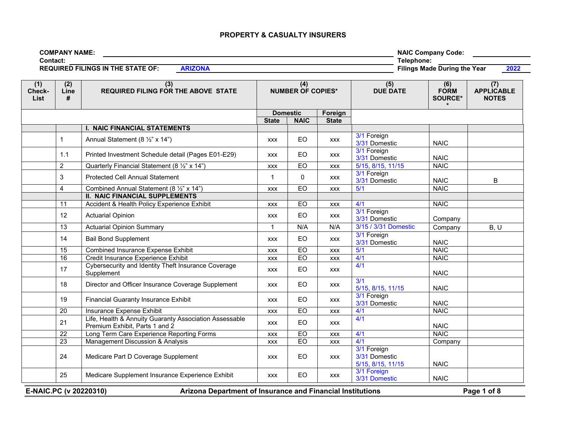| <b>COMPANY NAME:</b>                     |                | <b>NAIC Company Code:</b>                   |
|------------------------------------------|----------------|---------------------------------------------|
| Contact:                                 |                | Telephone:                                  |
| <b>REQUIRED FILINGS IN THE STATE OF:</b> | <b>ARIZONA</b> | 2022<br><b>Filings Made During the Year</b> |

| (1)<br>Check-<br><b>List</b> | (2)<br>Line<br># | (3)<br><b>REQUIRED FILING FOR THE ABOVE STATE</b>                                        | (4)<br><b>NUMBER OF COPIES*</b> |              | (5)<br><b>DUE DATE</b> | (6)<br><b>FORM</b><br><b>SOURCE*</b>              | (7)<br><b>APPLICABLE</b><br><b>NOTES</b> |             |
|------------------------------|------------------|------------------------------------------------------------------------------------------|---------------------------------|--------------|------------------------|---------------------------------------------------|------------------------------------------|-------------|
|                              |                  |                                                                                          | <b>Domestic</b>                 |              | Foreign                |                                                   |                                          |             |
|                              |                  |                                                                                          | <b>State</b>                    | <b>NAIC</b>  | <b>State</b>           |                                                   |                                          |             |
|                              |                  | <b>I. NAIC FINANCIAL STATEMENTS</b>                                                      |                                 |              |                        |                                                   |                                          |             |
|                              | $\mathbf{1}$     | Annual Statement (8 1/2" x 14")                                                          | <b>XXX</b>                      | <b>EO</b>    | <b>XXX</b>             | 3/1 Foreign<br>3/31 Domestic                      | <b>NAIC</b>                              |             |
|                              | 1.1              | Printed Investment Schedule detail (Pages E01-E29)                                       | <b>XXX</b>                      | EO           | <b>XXX</b>             | 3/1 Foreign<br>3/31 Domestic                      | <b>NAIC</b>                              |             |
|                              | $\overline{2}$   | Quarterly Financial Statement (8 1/2" x 14")                                             | <b>XXX</b>                      | EO           | <b>XXX</b>             | 5/15, 8/15, 11/15                                 | <b>NAIC</b>                              |             |
|                              | 3                | <b>Protected Cell Annual Statement</b>                                                   | $\mathbf 1$                     | $\mathbf{0}$ | <b>XXX</b>             | 3/1 Foreign<br>3/31 Domestic                      | <b>NAIC</b>                              | B           |
|                              | $\overline{4}$   | Combined Annual Statement (8 1/2" x 14")                                                 | <b>XXX</b>                      | EO           | <b>XXX</b>             | 5/1                                               | <b>NAIC</b>                              |             |
|                              |                  | <b>II. NAIC FINANCIAL SUPPLEMENTS</b>                                                    |                                 |              |                        |                                                   |                                          |             |
|                              | 11               | Accident & Health Policy Experience Exhibit                                              | <b>XXX</b>                      | EO           | <b>XXX</b>             | 4/1                                               | <b>NAIC</b>                              |             |
|                              | 12               | <b>Actuarial Opinion</b>                                                                 | <b>XXX</b>                      | <b>EO</b>    | <b>XXX</b>             | 3/1 Foreign<br>3/31 Domestic                      | Company                                  |             |
|                              | 13               | <b>Actuarial Opinion Summary</b>                                                         | $\mathbf{1}$                    | N/A          | N/A                    | 3/15 / 3/31 Domestic                              | Company                                  | B, U        |
|                              | 14               | <b>Bail Bond Supplement</b>                                                              | <b>XXX</b>                      | EO           | <b>XXX</b>             | 3/1 Foreign<br>3/31 Domestic                      | <b>NAIC</b>                              |             |
|                              | 15               | <b>Combined Insurance Expense Exhibit</b>                                                | <b>XXX</b>                      | EO           | <b>XXX</b>             | 5/1                                               | <b>NAIC</b>                              |             |
|                              | 16               | Credit Insurance Experience Exhibit                                                      | <b>XXX</b>                      | EO           | <b>XXX</b>             | 4/1                                               | <b>NAIC</b>                              |             |
|                              | 17               | Cybersecurity and Identity Theft Insurance Coverage<br>Supplement                        | <b>XXX</b>                      | EO           | <b>XXX</b>             | 4/1                                               | <b>NAIC</b>                              |             |
|                              | 18               | Director and Officer Insurance Coverage Supplement                                       | <b>XXX</b>                      | <b>EO</b>    | <b>XXX</b>             | 3/1<br>5/15, 8/15, 11/15                          | <b>NAIC</b>                              |             |
|                              | 19               | <b>Financial Guaranty Insurance Exhibit</b>                                              | <b>XXX</b>                      | EO           | <b>XXX</b>             | 3/1 Foreign<br>3/31 Domestic                      | <b>NAIC</b>                              |             |
|                              | 20               | Insurance Expense Exhibit                                                                | <b>XXX</b>                      | <b>EO</b>    | <b>XXX</b>             | 4/1                                               | <b>NAIC</b>                              |             |
|                              | 21               | Life, Health & Annuity Guaranty Association Assessable<br>Premium Exhibit, Parts 1 and 2 | <b>XXX</b>                      | EO           | <b>XXX</b>             | 4/1                                               | <b>NAIC</b>                              |             |
|                              | 22               | Long Term Care Experience Reporting Forms                                                | <b>XXX</b>                      | EO           | <b>XXX</b>             | 4/1                                               | <b>NAIC</b>                              |             |
|                              | 23               | Management Discussion & Analysis                                                         | <b>XXX</b>                      | EO           | <b>XXX</b>             | 4/1                                               | Company                                  |             |
|                              | 24               | Medicare Part D Coverage Supplement                                                      | <b>XXX</b>                      | <b>EO</b>    | <b>XXX</b>             | 3/1 Foreign<br>3/31 Domestic<br>5/15, 8/15, 11/15 | <b>NAIC</b>                              |             |
|                              | 25               | Medicare Supplement Insurance Experience Exhibit                                         | <b>XXX</b>                      | <b>EO</b>    | <b>XXX</b>             | 3/1 Foreign<br>3/31 Domestic                      | <b>NAIC</b>                              |             |
| E-NAIC.PC (v 20220310)       |                  | Arizona Department of Insurance and Financial Institutions                               |                                 |              |                        |                                                   |                                          | Page 1 of 8 |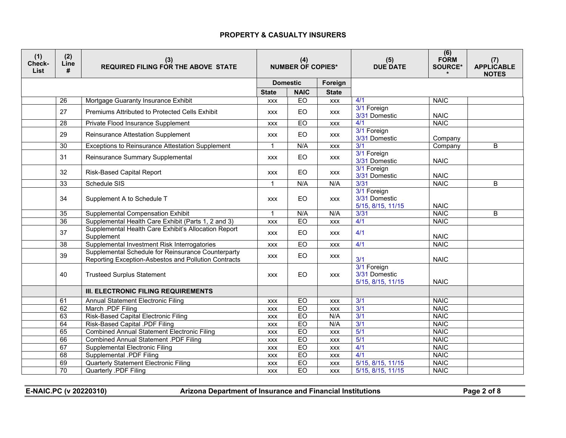| (1)<br>Check-<br>List | (2)<br>Line<br># | (3)<br><b>REQUIRED FILING FOR THE ABOVE STATE</b>                                                          |              | (4)<br><b>NUMBER OF COPIES*</b> |              | (5)<br><b>DUE DATE</b>                            | (6)<br><b>FORM</b><br>SOURCE* | (7)<br><b>APPLICABLE</b><br><b>NOTES</b> |
|-----------------------|------------------|------------------------------------------------------------------------------------------------------------|--------------|---------------------------------|--------------|---------------------------------------------------|-------------------------------|------------------------------------------|
|                       |                  |                                                                                                            |              | <b>Domestic</b>                 | Foreign      |                                                   |                               |                                          |
|                       |                  |                                                                                                            | <b>State</b> | <b>NAIC</b>                     | <b>State</b> |                                                   |                               |                                          |
|                       | $\overline{26}$  | Mortgage Guaranty Insurance Exhibit                                                                        | <b>XXX</b>   | EO                              | <b>XXX</b>   | 4/1                                               | <b>NAIC</b>                   |                                          |
|                       | 27               | Premiums Attributed to Protected Cells Exhibit                                                             | <b>XXX</b>   | EO                              | <b>XXX</b>   | 3/1 Foreign<br>3/31 Domestic                      | <b>NAIC</b>                   |                                          |
|                       | $\overline{28}$  | Private Flood Insurance Supplement                                                                         | <b>XXX</b>   | EO                              | <b>XXX</b>   | 4/1                                               | <b>NAIC</b>                   |                                          |
|                       | 29               | Reinsurance Attestation Supplement                                                                         | <b>XXX</b>   | EO                              | <b>XXX</b>   | 3/1 Foreign<br>3/31 Domestic                      | Company                       |                                          |
|                       | $\overline{30}$  | <b>Exceptions to Reinsurance Attestation Supplement</b>                                                    | $\mathbf{1}$ | N/A                             | <b>XXX</b>   | 3/1                                               | Company                       | B                                        |
|                       | 31               | Reinsurance Summary Supplemental                                                                           | <b>XXX</b>   | EO                              | <b>XXX</b>   | 3/1 Foreign<br>3/31 Domestic                      | <b>NAIC</b>                   |                                          |
|                       | 32               | <b>Risk-Based Capital Report</b>                                                                           | <b>XXX</b>   | <b>EO</b>                       | <b>XXX</b>   | 3/1 Foreign<br>3/31 Domestic                      | <b>NAIC</b>                   |                                          |
|                       | 33               | Schedule SIS                                                                                               | $\mathbf{1}$ | N/A                             | N/A          | 3/31                                              | <b>NAIC</b>                   | $\overline{B}$                           |
|                       | 34               | Supplement A to Schedule T                                                                                 | <b>XXX</b>   | <b>EO</b>                       | <b>XXX</b>   | 3/1 Foreign<br>3/31 Domestic<br>5/15, 8/15, 11/15 | <b>NAIC</b>                   |                                          |
|                       | $\overline{35}$  | <b>Supplemental Compensation Exhibit</b>                                                                   | $\mathbf{1}$ | N/A                             | N/A          | 3/31                                              | <b>NAIC</b>                   | B                                        |
|                       | 36               | Supplemental Health Care Exhibit (Parts 1, 2 and 3)                                                        | <b>XXX</b>   | E <sub>O</sub>                  | <b>XXX</b>   | 4/1                                               | <b>NAIC</b>                   |                                          |
|                       | 37               | Supplemental Health Care Exhibit's Allocation Report<br>Supplement                                         | <b>XXX</b>   | EO                              | <b>XXX</b>   | 4/1                                               | <b>NAIC</b>                   |                                          |
|                       | 38               | Supplemental Investment Risk Interrogatories                                                               | <b>XXX</b>   | $E_{\rm O}$                     | XXX          | 4/1                                               | <b>NAIC</b>                   |                                          |
|                       | 39               | Supplemental Schedule for Reinsurance Counterparty<br>Reporting Exception-Asbestos and Pollution Contracts | <b>XXX</b>   | EO                              | <b>XXX</b>   | 3/1                                               | <b>NAIC</b>                   |                                          |
|                       | 40               | <b>Trusteed Surplus Statement</b>                                                                          | <b>XXX</b>   | <b>EO</b>                       | <b>XXX</b>   | 3/1 Foreign<br>3/31 Domestic<br>5/15, 8/15, 11/15 | <b>NAIC</b>                   |                                          |
|                       |                  | <b>III. ELECTRONIC FILING REQUIREMENTS</b>                                                                 |              |                                 |              |                                                   |                               |                                          |
|                       | 61               | <b>Annual Statement Electronic Filing</b>                                                                  | <b>XXX</b>   | EO                              | <b>XXX</b>   | 3/1                                               | <b>NAIC</b>                   |                                          |
|                       | 62               | March .PDF Filing                                                                                          | <b>XXX</b>   | EO                              | <b>XXX</b>   | 3/1                                               | <b>NAIC</b>                   |                                          |
|                       | 63               | Risk-Based Capital Electronic Filing                                                                       | <b>XXX</b>   | EO                              | N/A          | 3/1                                               | <b>NAIC</b>                   |                                          |
|                       | 64               | Risk-Based Capital .PDF Filing                                                                             | <b>XXX</b>   | EO                              | N/A          | 3/1                                               | <b>NAIC</b>                   |                                          |
|                       | 65               | <b>Combined Annual Statement Electronic Filing</b>                                                         | <b>XXX</b>   | EO                              | <b>XXX</b>   | 5/1                                               | <b>NAIC</b>                   |                                          |
|                       | 66               | <b>Combined Annual Statement .PDF Filing</b>                                                               | <b>XXX</b>   | EO                              | <b>XXX</b>   | 5/1                                               | <b>NAIC</b>                   |                                          |
|                       | 67               | <b>Supplemental Electronic Filing</b>                                                                      | XXX          | EO                              | <b>XXX</b>   | 4/1                                               | <b>NAIC</b>                   |                                          |
|                       | 68               | <b>Supplemental .PDF Filing</b>                                                                            | <b>XXX</b>   | EO                              | <b>XXX</b>   | 4/1                                               | <b>NAIC</b>                   |                                          |
|                       | 69               | <b>Quarterly Statement Electronic Filing</b>                                                               | <b>XXX</b>   | EO                              | <b>XXX</b>   | 5/15, 8/15, 11/15                                 | <b>NAIC</b>                   |                                          |
|                       | $\overline{70}$  | <b>Quarterly .PDF Filing</b>                                                                               | <b>XXX</b>   | EO                              | <b>XXX</b>   | 5/15, 8/15, 11/15                                 | <b>NAIC</b>                   |                                          |

**E-NAIC.PC (v 20220310) Arizona Department of Insurance and Financial Institutions Page 2 of 8**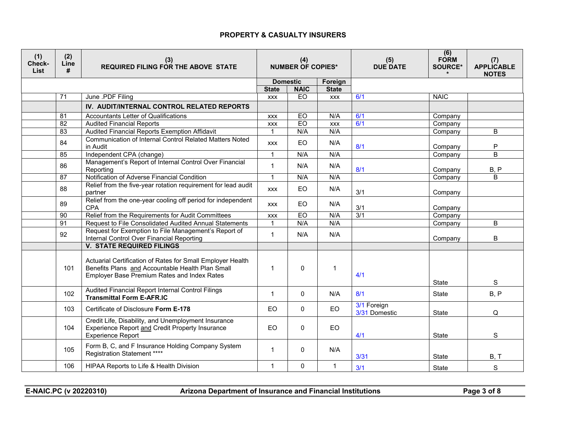| (1)<br>Check-<br><b>List</b> | (2)<br>Line<br># | (3)<br><b>REQUIRED FILING FOR THE ABOVE STATE</b>                                                                                                             |                            | (4)<br><b>NUMBER OF COPIES*</b> |                            | (5)<br><b>DUE DATE</b>       | (6)<br><b>FORM</b><br><b>SOURCE*</b> | (7)<br><b>APPLICABLE</b><br><b>NOTES</b> |
|------------------------------|------------------|---------------------------------------------------------------------------------------------------------------------------------------------------------------|----------------------------|---------------------------------|----------------------------|------------------------------|--------------------------------------|------------------------------------------|
|                              |                  |                                                                                                                                                               |                            | <b>Domestic</b>                 | Foreign                    |                              |                                      |                                          |
|                              | $\overline{71}$  | June .PDF Filing                                                                                                                                              | <b>State</b><br><b>XXX</b> | <b>NAIC</b><br>EO               | <b>State</b><br><b>XXX</b> | 6/1                          | <b>NAIC</b>                          |                                          |
|                              |                  |                                                                                                                                                               |                            |                                 |                            |                              |                                      |                                          |
|                              |                  | IV. AUDIT/INTERNAL CONTROL RELATED REPORTS                                                                                                                    |                            |                                 |                            |                              |                                      |                                          |
|                              | 81               | Accountants Letter of Qualifications                                                                                                                          | <b>XXX</b>                 | EO                              | N/A                        | 6/1                          | Company                              |                                          |
|                              | $\overline{82}$  | <b>Audited Financial Reports</b>                                                                                                                              | <b>XXX</b>                 | EO                              | <b>XXX</b>                 | 6/1                          | Company                              |                                          |
|                              | $\overline{83}$  | Audited Financial Reports Exemption Affidavit                                                                                                                 | $\mathbf{1}$               | N/A                             | N/A                        |                              | Company                              | B                                        |
|                              | 84               | <b>Communication of Internal Control Related Matters Noted</b><br>in Audit                                                                                    | <b>XXX</b>                 | EO                              | N/A                        | 8/1                          | Company                              | ${\sf P}$                                |
|                              | 85               | Independent CPA (change)                                                                                                                                      | $\mathbf{1}$               | N/A                             | N/A                        |                              | Company                              | B                                        |
|                              | 86               | Management's Report of Internal Control Over Financial<br>Reporting                                                                                           | $\mathbf{1}$               | N/A                             | N/A                        | 8/1                          | Company                              | B, P                                     |
|                              | 87               | Notification of Adverse Financial Condition                                                                                                                   | $\overline{1}$             | N/A                             | N/A                        |                              | Company                              | $\overline{B}$                           |
|                              | 88               | Relief from the five-year rotation requirement for lead audit<br>partner                                                                                      | <b>XXX</b>                 | EO                              | N/A                        | 3/1                          | Company                              |                                          |
|                              | 89               | Relief from the one-year cooling off period for independent<br><b>CPA</b>                                                                                     | <b>XXX</b>                 | EO                              | N/A                        | 3/1                          | Company                              |                                          |
|                              | 90               | Relief from the Requirements for Audit Committees                                                                                                             | <b>XXX</b>                 | EO                              | N/A                        | 3/1                          | Company                              |                                          |
|                              | $\overline{91}$  | Request to File Consolidated Audited Annual Statements                                                                                                        | $\mathbf{1}$               | N/A                             | N/A                        |                              | Company                              | B                                        |
|                              | 92               | Request for Exemption to File Management's Report of<br>Internal Control Over Financial Reporting                                                             | $\mathbf{1}$               | N/A                             | N/A                        |                              | Company                              | B                                        |
|                              |                  | <b>V. STATE REQUIRED FILINGS</b>                                                                                                                              |                            |                                 |                            |                              |                                      |                                          |
|                              | 101              | Actuarial Certification of Rates for Small Employer Health<br>Benefits Plans and Accountable Health Plan Small<br>Employer Base Premium Rates and Index Rates | $\mathbf{1}$               | $\Omega$                        | $\mathbf 1$                | 4/1                          | <b>State</b>                         | S                                        |
|                              | 102              | Audited Financial Report Internal Control Filings<br><b>Transmittal Form E-AFR.IC</b>                                                                         | $\mathbf{1}$               | $\Omega$                        | N/A                        | 8/1                          | State                                | B, P                                     |
|                              | 103              | Certificate of Disclosure Form E-178                                                                                                                          | EO                         | $\Omega$                        | <b>EO</b>                  | 3/1 Foreign<br>3/31 Domestic | State                                | Q                                        |
|                              | 104              | Credit Life, Disability, and Unemployment Insurance<br>Experience Report and Credit Property Insurance<br><b>Experience Report</b>                            | <b>EO</b>                  | $\Omega$                        | EO                         | 4/1                          | <b>State</b>                         | S                                        |
|                              | 105              | Form B, C, and F Insurance Holding Company System<br>Registration Statement ****                                                                              | $\mathbf{1}$               | 0                               | N/A                        | 3/31                         | State                                | B, T                                     |
|                              | 106              | HIPAA Reports to Life & Health Division                                                                                                                       | $\mathbf{1}$               | $\Omega$                        | $\mathbf 1$                | 3/1                          | State                                | $\mathbf S$                              |

**E-NAIC.PC (v 20220310) Arizona Department of Insurance and Financial Institutions Page 3 of 8**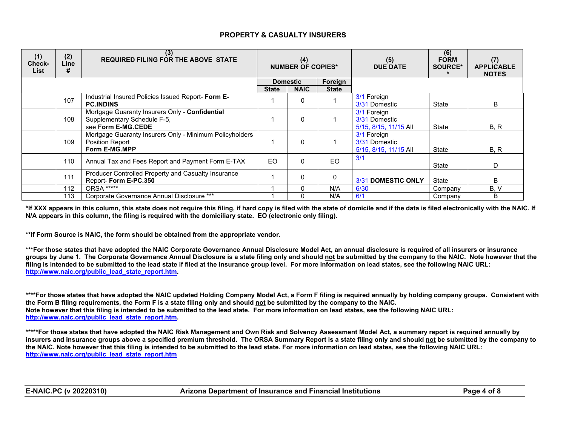| (1)<br>Check-<br>List | (2)<br>Line<br># | (3)<br><b>REQUIRED FILING FOR THE ABOVE STATE</b>                                                   | (4)<br><b>NUMBER OF COPIES*</b> |                 | (5)<br><b>DUE DATE</b> | (6)<br><b>FORM</b><br><b>SOURCE*</b>                  | (7)<br><b>APPLICABLE</b><br><b>NOTES</b> |      |
|-----------------------|------------------|-----------------------------------------------------------------------------------------------------|---------------------------------|-----------------|------------------------|-------------------------------------------------------|------------------------------------------|------|
|                       |                  |                                                                                                     |                                 | <b>Domestic</b> | Foreign                |                                                       |                                          |      |
|                       |                  |                                                                                                     | <b>State</b>                    | <b>NAIC</b>     | <b>State</b>           |                                                       |                                          |      |
|                       | 107              | Industrial Insured Policies Issued Report- Form E-<br><b>PC.INDINS</b>                              |                                 | 0               |                        | 3/1 Foreign<br>3/31 Domestic                          | State                                    | B    |
|                       | 108              | Mortgage Guaranty Insurers Only - Confidential<br>Supplementary Schedule F-5,<br>see Form E-MG.CEDE |                                 | $\Omega$        |                        | 3/1 Foreign<br>3/31 Domestic<br>5/15, 8/15, 11/15 All | State                                    | B, R |
|                       | 109              | Mortgage Guaranty Insurers Only - Minimum Policyholders<br><b>Position Report</b><br>Form E-MG.MPP  |                                 | $\Omega$        |                        | 3/1 Foreign<br>3/31 Domestic<br>5/15, 8/15, 11/15 All | State                                    | B, R |
|                       | 110              | Annual Tax and Fees Report and Payment Form E-TAX                                                   | EO                              | $\Omega$        | EO                     | 3/1                                                   | State                                    | D    |
|                       | 111              | Producer Controlled Property and Casualty Insurance<br>Report- Form E-PC.350                        |                                 | 0               | 0                      | 3/31 DOMESTIC ONLY                                    | State                                    | в    |
|                       | 112              | <b>ORSA *****</b>                                                                                   |                                 | 0               | N/A                    | 6/30                                                  | Company                                  | B, V |
|                       | 113              | Corporate Governance Annual Disclosure ***                                                          |                                 |                 | N/A                    | 6/1                                                   | Company                                  | B    |

**\*If XXX appears in this column, this state does not require this filing, if hard copy is filed with the state of domicile and if the data is filed electronically with the NAIC. If N/A appears in this column, the filing is required with the domiciliary state. EO (electronic only filing).**

**\*\*If Form Source is NAIC, the form should be obtained from the appropriate vendor.**

**\*\*\*For those states that have adopted the NAIC Corporate Governance Annual Disclosure Model Act, an annual disclosure is required of all insurers or insurance groups by June 1. The Corporate Governance Annual Disclosure is a state filing only and should not be submitted by the company to the NAIC. Note however that the filing is intended to be submitted to the lead state if filed at the insurance group level. For more information on lead states, see the following NAIC URL: [http://www.naic.org/public\\_lead\\_state\\_report.htm.](http://www.naic.org/public_lead_state_report.htm)** 

**\*\*\*\*For those states that have adopted the NAIC updated Holding Company Model Act, a Form F filing is required annually by holding company groups. Consistent with the Form B filing requirements, the Form F is a state filing only and should not be submitted by the company to the NAIC. Note however that this filing is intended to be submitted to the lead state. For more information on lead states, see the following NAIC URL: [http://www.naic.org/public\\_lead\\_state\\_report.htm.](http://www.naic.org/public_lead_state_report.htm)** 

**\*\*\*\*\*For those states that have adopted the NAIC Risk Management and Own Risk and Solvency Assessment Model Act, a summary report is required annually by insurers and insurance groups above a specified premium threshold. The ORSA Summary Report is a state filing only and should not be submitted by the company to the NAIC. Note however that this filing is intended to be submitted to the lead state. For more information on lead states, see the following NAIC URL: [http://www.naic.org/public\\_lead\\_state\\_report.htm](http://www.naic.org/public_lead_state_report.htm)**

**E-NAIC.PC (v 20220310) Arizona Department of Insurance and Financial Institutions Page 4 of 8**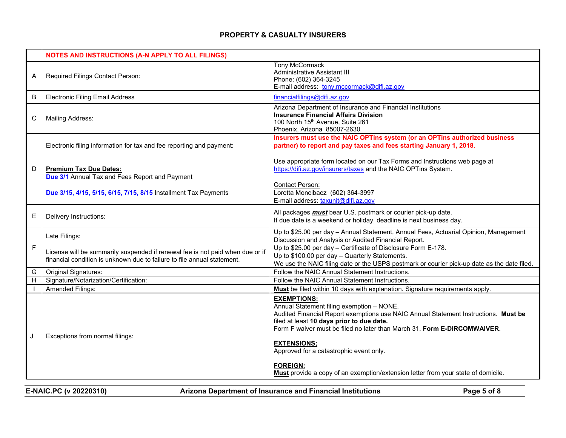|              | <b>NOTES AND INSTRUCTIONS (A-N APPLY TO ALL FILINGS)</b>                                                                                                 |                                                                                                                                                                                                                                                                                 |
|--------------|----------------------------------------------------------------------------------------------------------------------------------------------------------|---------------------------------------------------------------------------------------------------------------------------------------------------------------------------------------------------------------------------------------------------------------------------------|
| A            | Required Filings Contact Person:                                                                                                                         | <b>Tony McCormack</b><br>Administrative Assistant III<br>Phone: (602) 364-3245<br>E-mail address: tony.mccormack@difi.az.gov                                                                                                                                                    |
| B            | <b>Electronic Filing Email Address</b>                                                                                                                   | financialfilings@difi.az.gov                                                                                                                                                                                                                                                    |
| $\mathsf{C}$ | <b>Mailing Address:</b>                                                                                                                                  | Arizona Department of Insurance and Financial Institutions<br><b>Insurance Financial Affairs Division</b><br>100 North 15th Avenue, Suite 261<br>Phoenix, Arizona 85007-2630                                                                                                    |
|              | Electronic filing information for tax and fee reporting and payment:                                                                                     | Insurers must use the NAIC OPTins system (or an OPTins authorized business<br>partner) to report and pay taxes and fees starting January 1, 2018.                                                                                                                               |
| D            | <b>Premium Tax Due Dates:</b><br><b>Due 3/1</b> Annual Tax and Fees Report and Payment                                                                   | Use appropriate form located on our Tax Forms and Instructions web page at<br>https://difi.az.gov/insurers/taxes and the NAIC OPTins System.                                                                                                                                    |
|              | Due 3/15, 4/15, 5/15, 6/15, 7/15, 8/15 Installment Tax Payments                                                                                          | Contact Person:<br>Loretta Moncibaez (602) 364-3997<br>E-mail address: taxunit@difi.az.gov                                                                                                                                                                                      |
| E            | Delivery Instructions:                                                                                                                                   | All packages <b>must</b> bear U.S. postmark or courier pick-up date.<br>If due date is a weekend or holiday, deadline is next business day.                                                                                                                                     |
| $\mathsf F$  | Late Filings:                                                                                                                                            | Up to \$25.00 per day - Annual Statement, Annual Fees, Actuarial Opinion, Management<br>Discussion and Analysis or Audited Financial Report.<br>Up to \$25.00 per day - Certificate of Disclosure Form E-178.                                                                   |
|              | License will be summarily suspended if renewal fee is not paid when due or if<br>financial condition is unknown due to failure to file annual statement. | Up to \$100.00 per day - Quarterly Statements.<br>We use the NAIC filing date or the USPS postmark or courier pick-up date as the date filed.                                                                                                                                   |
| G            | <b>Original Signatures:</b>                                                                                                                              | Follow the NAIC Annual Statement Instructions.                                                                                                                                                                                                                                  |
| H            | Signature/Notarization/Certification:                                                                                                                    | Follow the NAIC Annual Statement Instructions.                                                                                                                                                                                                                                  |
|              | Amended Filings:                                                                                                                                         | Must be filed within 10 days with explanation. Signature requirements apply.                                                                                                                                                                                                    |
| J            | Exceptions from normal filings:                                                                                                                          | <b>EXEMPTIONS:</b><br>Annual Statement filing exemption - NONE.<br>Audited Financial Report exemptions use NAIC Annual Statement Instructions. Must be<br>filed at least 10 days prior to due date.<br>Form F waiver must be filed no later than March 31. Form E-DIRCOMWAIVER. |
|              |                                                                                                                                                          | <b>EXTENSIONS:</b><br>Approved for a catastrophic event only.                                                                                                                                                                                                                   |
|              |                                                                                                                                                          | <b>FOREIGN:</b><br>Must provide a copy of an exemption/extension letter from your state of domicile.                                                                                                                                                                            |

**E-NAIC.PC (v 20220310) Arizona Department of Insurance and Financial Institutions Page 5 of 8**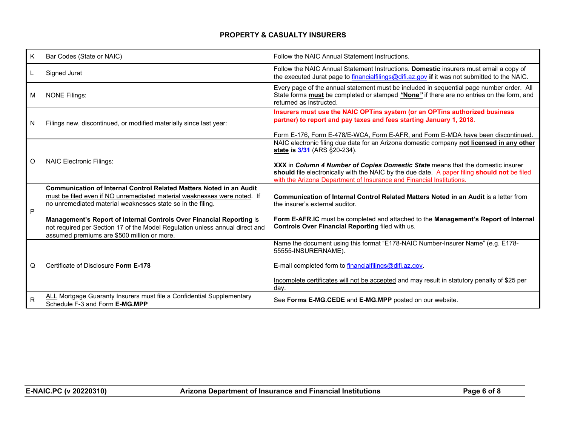| K              | Bar Codes (State or NAIC)                                                                                                                                                                                                                                                                                                                                                                                             | Follow the NAIC Annual Statement Instructions.                                                                                                                                                                                                                                                                                                                                                                                                                                  |
|----------------|-----------------------------------------------------------------------------------------------------------------------------------------------------------------------------------------------------------------------------------------------------------------------------------------------------------------------------------------------------------------------------------------------------------------------|---------------------------------------------------------------------------------------------------------------------------------------------------------------------------------------------------------------------------------------------------------------------------------------------------------------------------------------------------------------------------------------------------------------------------------------------------------------------------------|
| $\mathsf{L}$   | Signed Jurat                                                                                                                                                                                                                                                                                                                                                                                                          | Follow the NAIC Annual Statement Instructions. Domestic insurers must email a copy of<br>the executed Jurat page to financialfilings@difi.az.gov if it was not submitted to the NAIC.                                                                                                                                                                                                                                                                                           |
| M              | <b>NONE Filings:</b>                                                                                                                                                                                                                                                                                                                                                                                                  | Every page of the annual statement must be included in sequential page number order. All<br>State forms <b>must</b> be completed or stamped "None" if there are no entries on the form, and<br>returned as instructed.                                                                                                                                                                                                                                                          |
| $\overline{N}$ | Filings new, discontinued, or modified materially since last year:                                                                                                                                                                                                                                                                                                                                                    | Insurers must use the NAIC OPTins system (or an OPTins authorized business<br>partner) to report and pay taxes and fees starting January 1, 2018.                                                                                                                                                                                                                                                                                                                               |
| O              | <b>NAIC Electronic Filings:</b>                                                                                                                                                                                                                                                                                                                                                                                       | Form E-176, Form E-478/E-WCA, Form E-AFR, and Form E-MDA have been discontinued.<br>NAIC electronic filing due date for an Arizona domestic company not licensed in any other<br>state is $3/31$ (ARS $\S 20-234$ ).<br>XXX in Column 4 Number of Copies Domestic State means that the domestic insurer<br>should file electronically with the NAIC by the due date. A paper filing should not be filed<br>with the Arizona Department of Insurance and Financial Institutions. |
| P              | Communication of Internal Control Related Matters Noted in an Audit<br>must be filed even if NO unremediated material weaknesses were noted. If<br>no unremediated material weaknesses state so in the filing.<br>Management's Report of Internal Controls Over Financial Reporting is<br>not required per Section 17 of the Model Regulation unless annual direct and<br>assumed premiums are \$500 million or more. | Communication of Internal Control Related Matters Noted in an Audit is a letter from<br>the insurer's external auditor.<br>Form E-AFR.IC must be completed and attached to the Management's Report of Internal<br>Controls Over Financial Reporting filed with us.                                                                                                                                                                                                              |
| Q              | Certificate of Disclosure Form E-178                                                                                                                                                                                                                                                                                                                                                                                  | Name the document using this format "E178-NAIC Number-Insurer Name" (e.g. E178-<br>55555-INSURERNAME).<br>E-mail completed form to financialfilings@difi.az.gov.<br>Incomplete certificates will not be accepted and may result in statutory penalty of \$25 per<br>day.                                                                                                                                                                                                        |
| R              | ALL Mortgage Guaranty Insurers must file a Confidential Supplementary<br>Schedule F-3 and Form E-MG.MPP                                                                                                                                                                                                                                                                                                               | See Forms E-MG.CEDE and E-MG.MPP posted on our website.                                                                                                                                                                                                                                                                                                                                                                                                                         |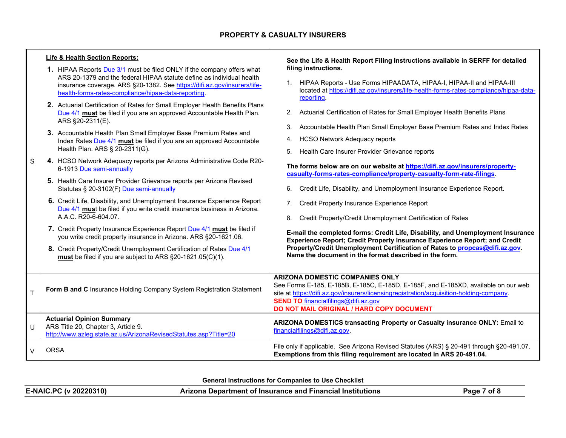| S            | Life & Health Section Reports:<br>1. HIPAA Reports Due 3/1 must be filed ONLY if the company offers what<br>ARS 20-1379 and the federal HIPAA statute define as individual health<br>insurance coverage. ARS §20-1382. See https://difi.az.gov/insurers/life-<br>health-forms-rates-compliance/hipaa-data-reporting.<br>2. Actuarial Certification of Rates for Small Employer Health Benefits Plans<br>Due 4/1 must be filed if you are an approved Accountable Health Plan.<br>ARS §20-2311(E).<br>3. Accountable Health Plan Small Employer Base Premium Rates and<br>Index Rates Due 4/1 must be filed if you are an approved Accountable<br>Health Plan. ARS § 20-2311(G).<br>4. HCSO Network Adequacy reports per Arizona Administrative Code R20-<br>6-1913 Due semi-annually<br>5. Health Care Insurer Provider Grievance reports per Arizona Revised<br>Statutes § 20-3102(F) Due semi-annually<br>6. Credit Life, Disability, and Unemployment Insurance Experience Report<br>Due 4/1 must be filed if you write credit insurance business in Arizona.<br>A.A.C. R20-6-604.07.<br>7. Credit Property Insurance Experience Report Due 4/1 must be filed if<br>you write credit property insurance in Arizona. ARS §20-1621.06.<br>8. Credit Property/Credit Unemployment Certification of Rates Due 4/1<br>must be filed if you are subject to ARS §20-1621.05(C)(1). | See the Life & Health Report Filing Instructions available in SERFF for detailed<br>filing instructions.<br>HIPAA Reports - Use Forms HIPAADATA, HIPAA-I, HIPAA-II and HIPAA-III<br>$1_{\cdot}$<br>located at https://difi.az.gov/insurers/life-health-forms-rates-compliance/hipaa-data-<br>reporting.<br>Actuarial Certification of Rates for Small Employer Health Benefits Plans<br>2 <sub>1</sub><br>Accountable Health Plan Small Employer Base Premium Rates and Index Rates<br>3.<br><b>HCSO Network Adequacy reports</b><br>4.<br>Health Care Insurer Provider Grievance reports<br>5.<br>The forms below are on our website at https://difi.az.gov/insurers/property-<br>casualty-forms-rates-compliance/property-casualty-form-rate-filings.<br>Credit Life, Disability, and Unemployment Insurance Experience Report.<br>6.<br>Credit Property Insurance Experience Report<br>7.<br>Credit Property/Credit Unemployment Certification of Rates<br>8.<br>E-mail the completed forms: Credit Life, Disability, and Unemployment Insurance<br>Experience Report; Credit Property Insurance Experience Report; and Credit<br>Property/Credit Unemployment Certification of Rates to propcas@difi.az.gov.<br>Name the document in the format described in the form. |
|--------------|--------------------------------------------------------------------------------------------------------------------------------------------------------------------------------------------------------------------------------------------------------------------------------------------------------------------------------------------------------------------------------------------------------------------------------------------------------------------------------------------------------------------------------------------------------------------------------------------------------------------------------------------------------------------------------------------------------------------------------------------------------------------------------------------------------------------------------------------------------------------------------------------------------------------------------------------------------------------------------------------------------------------------------------------------------------------------------------------------------------------------------------------------------------------------------------------------------------------------------------------------------------------------------------------------------------------------------------------------------------------------------|----------------------------------------------------------------------------------------------------------------------------------------------------------------------------------------------------------------------------------------------------------------------------------------------------------------------------------------------------------------------------------------------------------------------------------------------------------------------------------------------------------------------------------------------------------------------------------------------------------------------------------------------------------------------------------------------------------------------------------------------------------------------------------------------------------------------------------------------------------------------------------------------------------------------------------------------------------------------------------------------------------------------------------------------------------------------------------------------------------------------------------------------------------------------------------------------------------------------------------------------------------------------------|
| $\mathsf{T}$ | Form B and C Insurance Holding Company System Registration Statement                                                                                                                                                                                                                                                                                                                                                                                                                                                                                                                                                                                                                                                                                                                                                                                                                                                                                                                                                                                                                                                                                                                                                                                                                                                                                                           | <b>ARIZONA DOMESTIC COMPANIES ONLY</b><br>See Forms E-185, E-185B, E-185C, E-185D, E-185F, and E-185XD, available on our web<br>site at https://difi.az.gov/insurers/licensingregistration/acquisition-holding-company.<br><b>SEND TO</b> financialfilings@difi.az.gov<br>DO NOT MAIL ORIGINAL / HARD COPY DOCUMENT                                                                                                                                                                                                                                                                                                                                                                                                                                                                                                                                                                                                                                                                                                                                                                                                                                                                                                                                                        |
| U            | <b>Actuarial Opinion Summary</b><br>ARS Title 20, Chapter 3, Article 9.<br>http://www.azleg.state.az.us/ArizonaRevisedStatutes.asp?Title=20                                                                                                                                                                                                                                                                                                                                                                                                                                                                                                                                                                                                                                                                                                                                                                                                                                                                                                                                                                                                                                                                                                                                                                                                                                    | ARIZONA DOMESTICS transacting Property or Casualty insurance ONLY: Email to<br>financialfilings@difi.az.gov.                                                                                                                                                                                                                                                                                                                                                                                                                                                                                                                                                                                                                                                                                                                                                                                                                                                                                                                                                                                                                                                                                                                                                               |
| $\vee$       | <b>ORSA</b>                                                                                                                                                                                                                                                                                                                                                                                                                                                                                                                                                                                                                                                                                                                                                                                                                                                                                                                                                                                                                                                                                                                                                                                                                                                                                                                                                                    | File only if applicable. See Arizona Revised Statutes (ARS) § 20-491 through § 20-491.07.<br>Exemptions from this filing requirement are located in ARS 20-491.04.                                                                                                                                                                                                                                                                                                                                                                                                                                                                                                                                                                                                                                                                                                                                                                                                                                                                                                                                                                                                                                                                                                         |

**General Instructions for Companies to Use Checklist**

| <b>E-NAIC.PC (v 20220310)</b> | <b>Arizona Department of Insurance and Financial Institutions</b> | of P<br>Page |
|-------------------------------|-------------------------------------------------------------------|--------------|